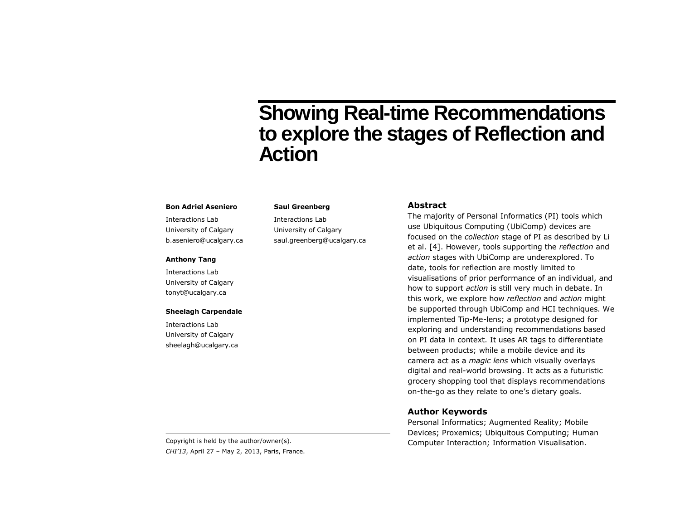# **Showing Real-time Recommendations to explore the stages of Reflection and Action**

#### **Bon Adriel Aseniero**

Interactions Lab University of Calgary b.aseniero@ucalgary.ca

#### **Anthony Tang**

Interactions Lab University of Calgary tonyt@ucalgary.ca

#### **Sheelagh Carpendale**

Interactions Lab University of Calgary sheelagh@ucalgary.ca

#### **Saul Greenberg**

Interactions Lab University of Calgary saul.greenberg@ucalgary.ca

## **Abstract**

The majority of Personal Informatics (PI) tools which use Ubiquitous Computing (UbiComp) devices are focused on the *collection* stage of PI as described by Li et al. [4]. However, tools supporting the *reflection* and *action* stages with UbiComp are underexplored. To date, tools for reflection are mostly limited to visualisations of prior performance of an individual, and how to support *action* is still very much in debate. In this work, we explore how *reflection* and *action* might be supported through UbiComp and HCI techniques. We implemented Tip-Me-lens; a prototype designed for exploring and understanding recommendations based on PI data in context. It uses AR tags to differentiate between products; while a mobile device and its camera act as a *magic lens* which visually overlays digital and real-world browsing. It acts as a futuristic grocery shopping tool that displays recommendations on-the-go as they relate to one's dietary goals.

#### **Author Keywords**

Personal Informatics; Augmented Reality; Mobile Devices; Proxemics; Ubiquitous Computing; Human Copyright is held by the author/owner(s). The author visual is also computer Interaction: Information Visualisation.

*CHI'13*, April 27 – May 2, 2013, Paris, France.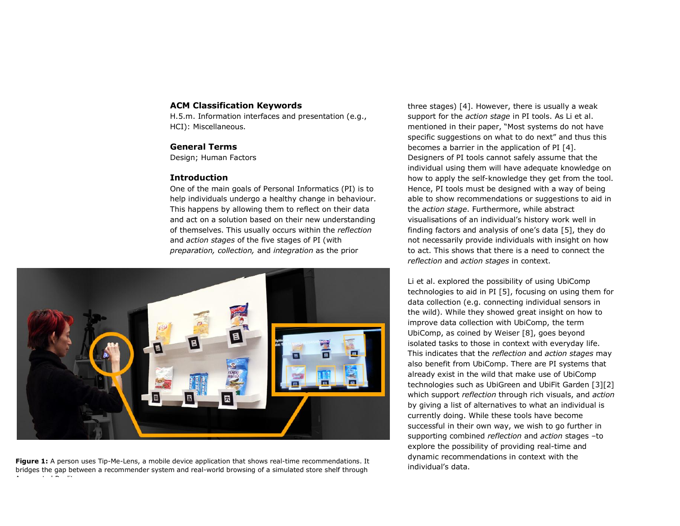## **ACM Classification Keywords**

H.5.m. Information interfaces and presentation (e.g., HCI): Miscellaneous.

## **General Terms**

Design; Human Factors

## **Introduction**

One of the main goals of Personal Informatics (PI) is to help individuals undergo a healthy change in behaviour. This happens by allowing them to reflect on their data and act on a solution based on their new understanding of themselves. This usually occurs within the *reflection*  and *action stages* of the five stages of PI (with *preparation, collection,* and *integration* as the prior



**Figure 1:** A person uses Tip-Me-Lens, a mobile device application that shows real-time recommendations. It bridges the gap between a recommender system and real-world browsing of a simulated store shelf through Augmented Reality.

three stages) [4]. However, there is usually a weak support for the *action stage* in PI tools. As Li et al. mentioned in their paper, "Most systems do not have specific suggestions on what to do next" and thus this becomes a barrier in the application of PI [4]. Designers of PI tools cannot safely assume that the individual using them will have adequate knowledge on how to apply the self-knowledge they get from the tool. Hence, PI tools must be designed with a way of being able to show recommendations or suggestions to aid in the *action stage*. Furthermore, while abstract visualisations of an individual's history work well in finding factors and analysis of one's data [5], they do not necessarily provide individuals with insight on how to act. This shows that there is a need to connect the *reflection* and *action stages* in context.

Li et al. explored the possibility of using UbiComp technologies to aid in PI [5], focusing on using them for data collection (e.g. connecting individual sensors in the wild). While they showed great insight on how to improve data collection with UbiComp, the term UbiComp, as coined by Weiser [8], goes beyond isolated tasks to those in context with everyday life. This indicates that the *reflection* and *action stages* may also benefit from UbiComp. There are PI systems that already exist in the wild that make use of UbiComp technologies such as UbiGreen and UbiFit Garden [3][2] which support *reflection* through rich visuals, and *action* by giving a list of alternatives to what an individual is currently doing. While these tools have become successful in their own way, we wish to go further in supporting combined *reflection* and *action* stages –to explore the possibility of providing real-time and dynamic recommendations in context with the individual's data.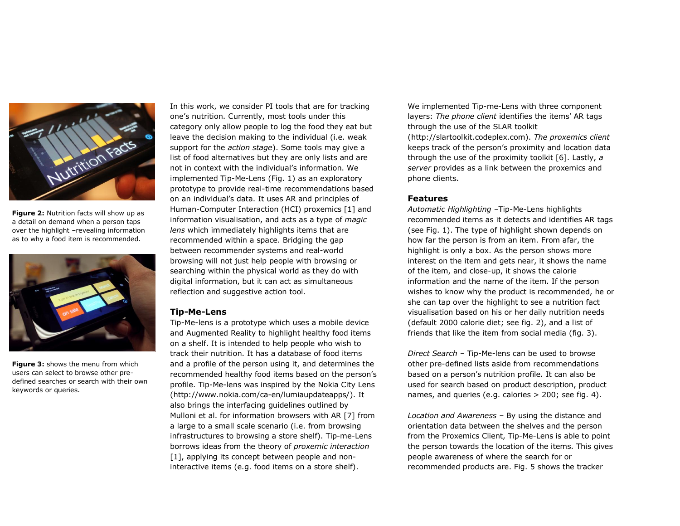

**Figure 2:** Nutrition facts will show up as a detail on demand when a person taps over the highlight –revealing information as to why a food item is recommended.



**Figure 3:** shows the menu from which users can select to browse other predefined searches or search with their own keywords or queries.

In this work, we consider PI tools that are for tracking one's nutrition. Currently, most tools under this category only allow people to log the food they eat but leave the decision making to the individual (i.e. weak support for the *action stage*). Some tools may give a list of food alternatives but they are only lists and are not in context with the individual's information. We implemented Tip-Me-Lens (Fig. 1) as an exploratory prototype to provide real-time recommendations based on an individual's data. It uses AR and principles of Human-Computer Interaction (HCI) proxemics [1] and information visualisation, and acts as a type of *magic lens* which immediately highlights items that are recommended within a space. Bridging the gap between recommender systems and real-world browsing will not just help people with browsing or searching within the physical world as they do with digital information, but it can act as simultaneous reflection and suggestive action tool.

#### **Tip-Me-Lens**

Tip-Me-lens is a prototype which uses a mobile device and Augmented Reality to highlight healthy food items on a shelf. It is intended to help people who wish to track their nutrition. It has a database of food items and a profile of the person using it, and determines the recommended healthy food items based on the person's profile. Tip-Me-lens was inspired by the Nokia City Lens (http://www.nokia.com/ca-en/lumiaupdateapps/). It also brings the interfacing guidelines outlined by Mulloni et al. for information browsers with AR [7] from a large to a small scale scenario (i.e. from browsing infrastructures to browsing a store shelf). Tip-me-Lens borrows ideas from the theory of *proxemic interaction*  [1], applying its concept between people and noninteractive items (e.g. food items on a store shelf).

We implemented Tip-me-Lens with three component layers: *The phone client* identifies the items' AR tags through the use of the SLAR toolkit (http://slartoolkit.codeplex.com). *The proxemics client*  keeps track of the person's proximity and location data through the use of the proximity toolkit [6]. Lastly, *a server* provides as a link between the proxemics and phone clients.

#### **Features**

*Automatic Highlighting –*Tip-Me-Lens highlights recommended items as it detects and identifies AR tags (see Fig. 1). The type of highlight shown depends on how far the person is from an item. From afar, the highlight is only a box. As the person shows more interest on the item and gets near, it shows the name of the item, and close-up, it shows the calorie information and the name of the item. If the person wishes to know why the product is recommended, he or she can tap over the highlight to see a nutrition fact visualisation based on his or her daily nutrition needs (default 2000 calorie diet; see fig. 2), and a list of friends that like the item from social media (fig. 3).

*Direct Search –* Tip-Me-lens can be used to browse other pre-defined lists aside from recommendations based on a person's nutrition profile. It can also be used for search based on product description, product names, and queries (e.g. calories > 200; see fig. 4).

*Location and Awareness –* By using the distance and orientation data between the shelves and the person from the Proxemics Client, Tip-Me-Lens is able to point the person towards the location of the items. This gives people awareness of where the search for or recommended products are. Fig. 5 shows the tracker